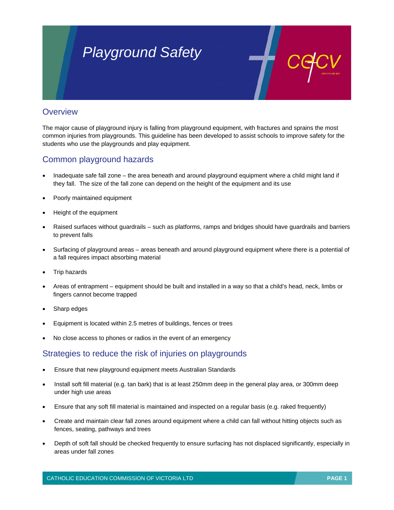

## **Overview**

The major cause of playground injury is falling from playground equipment, with fractures and sprains the most common injuries from playgrounds. This guideline has been developed to assist schools to improve safety for the students who use the playgrounds and play equipment.

## Common playground hazards

- Inadequate safe fall zone the area beneath and around playground equipment where a child might land if they fall. The size of the fall zone can depend on the height of the equipment and its use
- Poorly maintained equipment
- Height of the equipment
- Raised surfaces without guardrails such as platforms, ramps and bridges should have guardrails and barriers to prevent falls
- Surfacing of playground areas areas beneath and around playground equipment where there is a potential of a fall requires impact absorbing material
- Trip hazards
- Areas of entrapment equipment should be built and installed in a way so that a child's head, neck, limbs or fingers cannot become trapped
- Sharp edges
- Equipment is located within 2.5 metres of buildings, fences or trees
- No close access to phones or radios in the event of an emergency

## Strategies to reduce the risk of injuries on playgrounds

- Ensure that new playground equipment meets Australian Standards
- Install soft fill material (e.g. tan bark) that is at least 250mm deep in the general play area, or 300mm deep under high use areas
- Ensure that any soft fill material is maintained and inspected on a regular basis (e.g. raked frequently)
- Create and maintain clear fall zones around equipment where a child can fall without hitting objects such as fences, seating, pathways and trees
- Depth of soft fall should be checked frequently to ensure surfacing has not displaced significantly, especially in areas under fall zones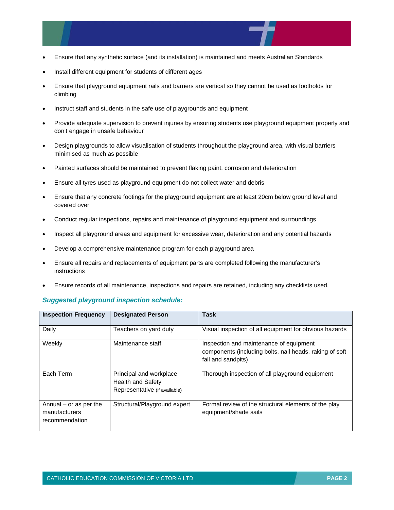

- Ensure that any synthetic surface (and its installation) is maintained and meets Australian Standards
- Install different equipment for students of different ages
- Ensure that playground equipment rails and barriers are vertical so they cannot be used as footholds for climbing
- Instruct staff and students in the safe use of playgrounds and equipment
- Provide adequate supervision to prevent injuries by ensuring students use playground equipment properly and don't engage in unsafe behaviour
- Design playgrounds to allow visualisation of students throughout the playground area, with visual barriers minimised as much as possible
- Painted surfaces should be maintained to prevent flaking paint, corrosion and deterioration
- Ensure all tyres used as playground equipment do not collect water and debris
- Ensure that any concrete footings for the playground equipment are at least 20cm below ground level and covered over
- Conduct regular inspections, repairs and maintenance of playground equipment and surroundings
- Inspect all playground areas and equipment for excessive wear, deterioration and any potential hazards
- Develop a comprehensive maintenance program for each playground area
- Ensure all repairs and replacements of equipment parts are completed following the manufacturer's instructions
- Ensure records of all maintenance, inspections and repairs are retained, including any checklists used.

#### *Suggested playground inspection schedule:*

| <b>Inspection Frequency</b>                               | <b>Designated Person</b>                                                             | Task                                                                                                                     |
|-----------------------------------------------------------|--------------------------------------------------------------------------------------|--------------------------------------------------------------------------------------------------------------------------|
| Daily                                                     | Teachers on yard duty                                                                | Visual inspection of all equipment for obvious hazards                                                                   |
| Weekly                                                    | Maintenance staff                                                                    | Inspection and maintenance of equipment<br>components (including bolts, nail heads, raking of soft<br>fall and sandpits) |
| Each Term                                                 | Principal and workplace<br><b>Health and Safety</b><br>Representative (if available) | Thorough inspection of all playground equipment                                                                          |
| Annual – or as per the<br>manufacturers<br>recommendation | Structural/Playground expert                                                         | Formal review of the structural elements of the play<br>equipment/shade sails                                            |